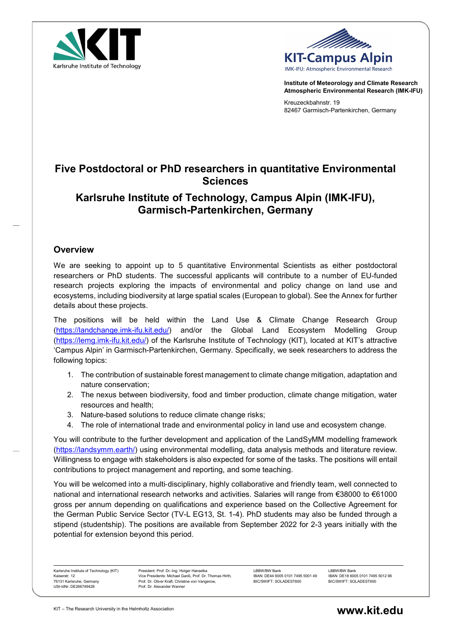



Institute of Meteorology and Climate Research Atmospheric Environmental Research (IMK-IFU)

Kreuzeckbahnstr. 19 82467 Garmisch-Partenkirchen, Germany

# Five Postdoctoral or PhD researchers in quantitative Environmental Sciences

# Karlsruhe Institute of Technology, Campus Alpin (IMK-IFU), Garmisch-Partenkirchen, Germany

## **Overview**

We are seeking to appoint up to 5 quantitative Environmental Scientists as either postdoctoral researchers or PhD students. The successful applicants will contribute to a number of EU-funded research projects exploring the impacts of environmental and policy change on land use and ecosystems, including biodiversity at large spatial scales (European to global). See the Annex for further details about these projects.

The positions will be held within the Land Use & Climate Change Research Group (https://landchange.imk-ifu.kit.edu/) and/or the Global Land Ecosystem Modelling Group (https://lemg.imk-ifu.kit.edu/) of the Karlsruhe Institute of Technology (KIT), located at KIT's attractive 'Campus Alpin' in Garmisch-Partenkirchen, Germany. Specifically, we seek researchers to address the following topics:

- 1. The contribution of sustainable forest management to climate change mitigation, adaptation and nature conservation;
- 2. The nexus between biodiversity, food and timber production, climate change mitigation, water resources and health;
- 3. Nature-based solutions to reduce climate change risks;
- 4. The role of international trade and environmental policy in land use and ecosystem change.

You will contribute to the further development and application of the LandSyMM modelling framework (https://landsymm.earth/) using environmental modelling, data analysis methods and literature review. Willingness to engage with stakeholders is also expected for some of the tasks. The positions will entail contributions to project management and reporting, and some teaching.

You will be welcomed into a multi‐disciplinary, highly collaborative and friendly team, well connected to national and international research networks and activities. Salaries will range from €38000 to €61000 gross per annum depending on qualifications and experience based on the Collective Agreement for the German Public Service Sector (TV-L EG13, St. 1-4). PhD students may also be funded through a stipend (studentship). The positions are available from September 2022 for 2-3 years initially with the potential for extension beyond this period.

Karlsruhe Institute of Technology (KIT) Kaiserstr. 12 76131 Karlsruhe, Germany USt-IdNr. DE266749428

President: Prof. Dr.-Ing. Holger Hanselka Vice Presidents: Michael Ganß, Prof. Dr. Thomas Hirth, Prof. Dr. Oliver Kraft, Christine von Vangerow, Prof. Dr. Alexander Wanner

LBBW/BW Bank IBAN: DE44 6005 0101 7495 5001 49 BIC/SWIFT: SOLADEST600

LBBW/BW Bank IBAN: DE18 6005 0101 7495 5012 96 BIC/SWIFT: SOLADEST600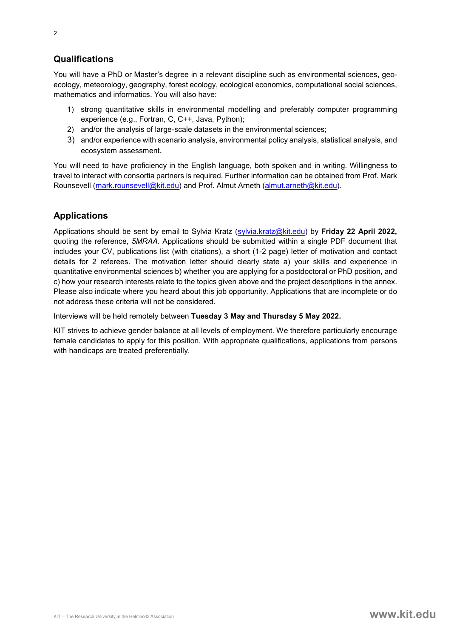You will have a PhD or Master's degree in a relevant discipline such as environmental sciences, geoecology, meteorology, geography, forest ecology, ecological economics, computational social sciences, mathematics and informatics. You will also have:

- 1) strong quantitative skills in environmental modelling and preferably computer programming experience (e.g., Fortran, C, C++, Java, Python);
- 2) and/or the analysis of large-scale datasets in the environmental sciences;
- 3) and/or experience with scenario analysis, environmental policy analysis, statistical analysis, and ecosystem assessment.

You will need to have proficiency in the English language, both spoken and in writing. Willingness to travel to interact with consortia partners is required. Further information can be obtained from Prof. Mark Rounsevell (mark.rounsevell@kit.edu) and Prof. Almut Arneth (almut.arneth@kit.edu).

## Applications

Applications should be sent by email to Sylvia Kratz (sylvia.kratz@kit.edu) by Friday 22 April 2022, quoting the reference, 5MRAA. Applications should be submitted within a single PDF document that includes your CV, publications list (with citations), a short (1-2 page) letter of motivation and contact details for 2 referees. The motivation letter should clearly state a) your skills and experience in quantitative environmental sciences b) whether you are applying for a postdoctoral or PhD position, and c) how your research interests relate to the topics given above and the project descriptions in the annex. Please also indicate where you heard about this job opportunity. Applications that are incomplete or do not address these criteria will not be considered.

Interviews will be held remotely between Tuesday 3 May and Thursday 5 May 2022.

KIT strives to achieve gender balance at all levels of employment. We therefore particularly encourage female candidates to apply for this position. With appropriate qualifications, applications from persons with handicaps are treated preferentially.